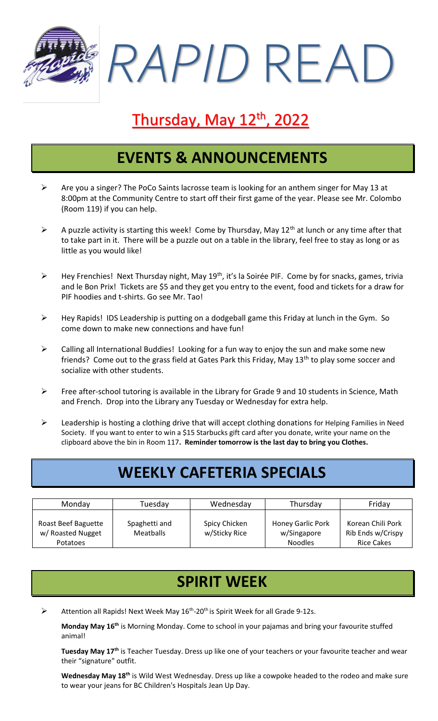*RAPID* READ

# Thursday, May 12<sup>th</sup>, 2022

### **EVENTS & ANNOUNCEMENTS**

- ➢ Are you a singer? The PoCo Saints lacrosse team is looking for an anthem singer for May 13 at 8:00pm at the Community Centre to start off their first game of the year. Please see Mr. Colombo (Room 119) if you can help.
- $\triangleright$  A puzzle activity is starting this week! Come by Thursday, May 12<sup>th</sup> at lunch or any time after that to take part in it. There will be a puzzle out on a table in the library, feel free to stay as long or as little as you would like!
- $\triangleright$  Hey Frenchies! Next Thursday night, May 19<sup>th</sup>, it's la Soirée PIF. Come by for snacks, games, trivia and le Bon Prix! Tickets are \$5 and they get you entry to the event, food and tickets for a draw for PIF hoodies and t-shirts. Go see Mr. Tao!
- ➢ Hey Rapids! IDS Leadership is putting on a dodgeball game this Friday at lunch in the Gym. So come down to make new connections and have fun!
- $\triangleright$  Calling all International Buddies! Looking for a fun way to enjoy the sun and make some new friends? Come out to the grass field at Gates Park this Friday, May 13<sup>th</sup> to play some soccer and socialize with other students.
- $\triangleright$  Free after-school tutoring is available in the Library for Grade 9 and 10 students in Science, Math and French. Drop into the Library any Tuesday or Wednesday for extra help.
- ➢ Leadership is hosting a clothing drive that will accept clothing donations for Helping Families in Need Society. If you want to enter to win a \$15 Starbucks gift card after you donate, write your name on the clipboard above the bin in Room 117**. Reminder tomorrow is the last day to bring you Clothes.**

# **WEEKLY CAFETERIA SPECIALS**

| Monday                                               | Tuesday                           | Wednesday                      | Thursday                                                  | Friday                                                      |
|------------------------------------------------------|-----------------------------------|--------------------------------|-----------------------------------------------------------|-------------------------------------------------------------|
| Roast Beef Baguette<br>w/ Roasted Nugget<br>Potatoes | Spaghetti and<br><b>Meatballs</b> | Spicy Chicken<br>w/Sticky Rice | <b>Honey Garlic Pork</b><br>w/Singapore<br><b>Noodles</b> | Korean Chili Pork<br>Rib Ends w/Crispy<br><b>Rice Cakes</b> |

# **SPIRIT WEEK**

 $\triangleright$  Attention all Rapids! Next Week May 16<sup>th</sup>-20<sup>th</sup> is Spirit Week for all Grade 9-12s.

**Monday May 16th** is Morning Monday. Come to school in your pajamas and bring your favourite stuffed animal!

**Tuesday May 17th** is Teacher Tuesday. Dress up like one of your teachers or your favourite teacher and wear their "signature" outfit.

**Wednesday May 18th** is Wild West Wednesday. Dress up like a cowpoke headed to the rodeo and make sure to wear your jeans for BC Children's Hospitals Jean Up Day.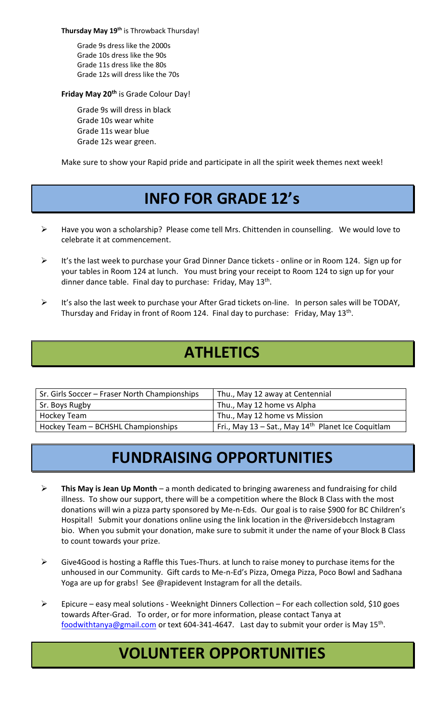**Thursday May 19th** is Throwback Thursday!

Grade 9s dress like the 2000s Grade 10s dress like the 90s Grade 11s dress like the 80s Grade 12s will dress like the 70s

#### **Friday May 20th** is Grade Colour Day!

Grade 9s will dress in black Grade 10s wear white Grade 11s wear blue Grade 12s wear green.

Make sure to show your Rapid pride and participate in all the spirit week themes next week!

# **INFO FOR GRADE 12's**

- ➢ Have you won a scholarship? Please come tell Mrs. Chittenden in counselling. We would love to celebrate it at commencement.
- ➢ It's the last week to purchase your Grad Dinner Dance tickets online or in Room 124. Sign up for your tables in Room 124 at lunch. You must bring your receipt to Room 124 to sign up for your dinner dance table. Final day to purchase: Friday, May 13<sup>th</sup>.
- ➢ It's also the last week to purchase your After Grad tickets on-line. In person sales will be TODAY, Thursday and Friday in front of Room 124. Final day to purchase: Friday, May 13<sup>th</sup>.

### **ATHLETICS**

| Sr. Girls Soccer - Fraser North Championships | Thu., May 12 away at Centennial                                |
|-----------------------------------------------|----------------------------------------------------------------|
| Sr. Boys Rugby                                | Thu., May 12 home vs Alpha                                     |
| Hockey Team                                   | Thu., May 12 home vs Mission                                   |
| Hockey Team - BCHSHL Championships            | Fri., May 13 - Sat., May 14 <sup>th</sup> Planet Ice Coquitlam |

# **FUNDRAISING OPPORTUNITIES**

- ➢ **This May is Jean Up Month** a month dedicated to bringing awareness and fundraising for child illness. To show our support, there will be a competition where the Block B Class with the most donations will win a pizza party sponsored by Me-n-Eds. Our goal is to raise \$900 for BC Children's Hospital! Submit your donations online using the link location in the @riversidebcch Instagram bio. When you submit your donation, make sure to submit it under the name of your Block B Class to count towards your prize.
- ➢ Give4Good is hosting a Raffle this Tues-Thurs. at lunch to raise money to purchase items for the unhoused in our Community. Gift cards to Me-n-Ed's Pizza, Omega Pizza, Poco Bowl and Sadhana Yoga are up for grabs! See @rapidevent Instagram for all the details.
- ➢ Epicure easy meal solutions Weeknight Dinners Collection For each collection sold, \$10 goes towards After-Grad. To order, or for more information, please contact Tanya at [foodwithtanya@gmail.com](mailto:foodwithtanya@gmail.com)</u> or text 604-341-4647. Last day to submit your order is May 15<sup>th</sup>.

# **VOLUNTEER OPPORTUNITIES**